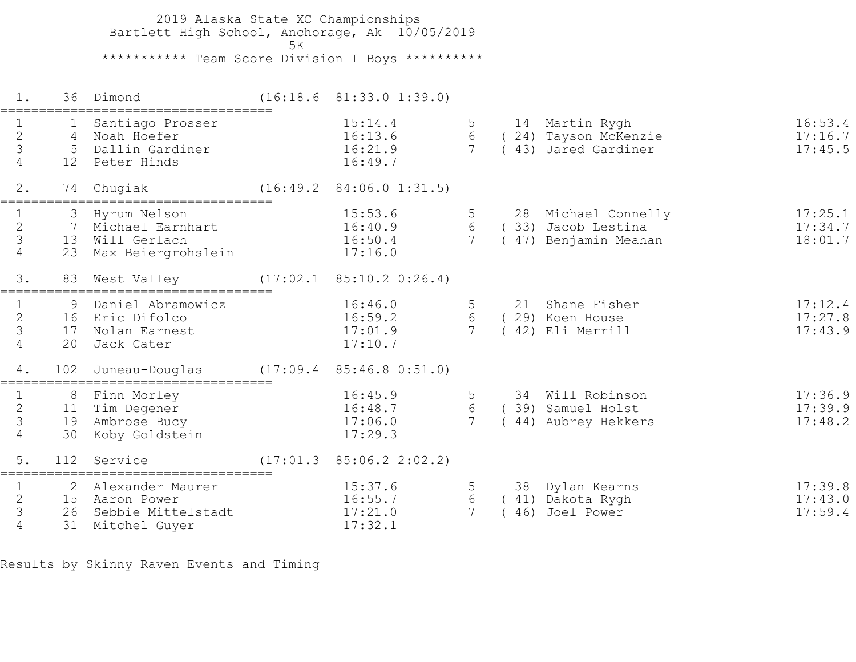2019 Alaska State XC Championships Bartlett High School, Anchorage, Ak 10/05/2019  $5K$  \*\*\*\*\*\*\*\*\*\*\* Team Score Division I Boys \*\*\*\*\*\*\*\*\*\* 1. 36 Dimond (16:18.6 81:33.0 1:39.0) =================================== 1 1 Santiago Prosser 15:14.4 5 14 Martin Rygh 16:53.4 2 4 Noah Hoefer 16:13.6 6 ( 24) Tayson McKenzie 17:16.7 3 5 Dallin Gardiner 16:21.9 7 ( 43) Jared Gardiner 17:45.5 16:13.6<br>
3 5 Dallin Gardiner 16:21.9<br>
4 12 Peter Hinds 16:49.7 2. 74 Chugiak (16:49.2 84:06.0 1:31.5) =================================== 1 3 Hyrum Nelson 15:53.6 5 28 Michael Connelly 17:25.1 2 7 Michael Earnhart 16:40.9 6 ( 33) Jacob Lestina 17:34.7 3 13 Will Gerlach 16:50.4 7 ( 47) Benjamin Meahan 18:01.7 4 23 Max Beiergrohslein 17:16.0 3. 83 West Valley (17:02.1 85:10.2 0:26.4) =================================== 1 9 Daniel Abramowicz 16:46.0 5 21 Shane Fisher 17:12.4 2 16 Eric Difolco 16:59.2 6 ( 29) Koen House 17:27.8 3 17 Nolan Earnest 17:01.9 7 ( 42) Eli Merrill 17:43.9 4 20 Jack Cater 17:10.7 4. 102 Juneau-Douglas (17:09.4 85:46.8 0:51.0) =================================== 1 8 Finn Morley 16:45.9 5 34 Will Robinson 17:36.9 2 11 Tim Degener 16:48.7 6 ( 39) Samuel Holst 17:39.9 3 19 Ambrose Bucy 17:06.0 7 ( 44) Aubrey Hekkers 17:48.2 4 30 Koby Goldstein 17:29.3 5. 112 Service (17:01.3 85:06.2 2:02.2) =================================== 1 2 Alexander Maurer 15:37.6 5 38 Dylan Kearns 17:39.8 2 15 Aaron Power 16:55.7 6 ( 41) Dakota Rygh 17:43.0 3 26 Sebbie Mittelstadt 17:21.0 7 ( 46) Joel Power 17:59.4 4 31 Mitchel Guyer 17:32.1

Results by Skinny Raven Events and Timing